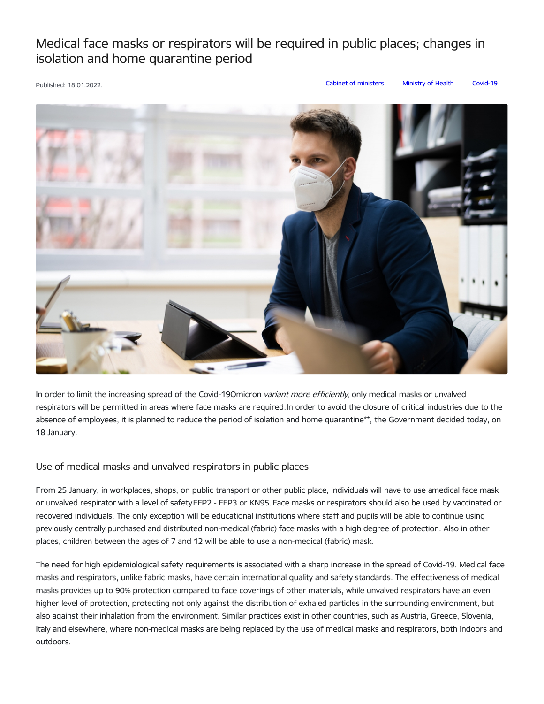## Medical face masks or respirators will be required in public places; changes in isolation and home quarantine period

Published: 18.01.2022. Cabinet of [ministers](https://www.mk.gov.lv/en/articles?category%255B145%255D=145) [Ministry](https://www.mk.gov.lv/en/articles?category%255B156%255D=156) of Health [Covid-19](https://www.mk.gov.lv/en/articles?category%255B125%255D=125)



In order to limit the increasing spread of the Covid-19Omicron variant more efficiently, only medical masks or unvalved respirators will be permitted in areas where face masks are required.In order to avoid the closure of critical industries due to the absence of employees, it is planned to reduce the period of isolation and home quarantine\*\*, the Government decided today, on 18 January.

## Use of medical masks and unvalved respirators in public places

From 25 January, in workplaces, shops, on public transport or other public place, individuals will have to use amedical face mask or unvalved respirator with a level of safetyFFP2 - FFP3 or KN95.Face masks or respirators should also be used by vaccinated or recovered individuals. The only exception will be educational institutions where staff and pupils will be able to continue using previously centrally purchased and distributed non-medical (fabric) face masks with a high degree of protection. Also in other places, children between the ages of 7 and 12 will be able to use a non-medical (fabric) mask.

The need for high epidemiological safety requirements is associated with a sharp increase in the spread of Covid-19. Medical face masks and respirators, unlike fabric masks, have certain international quality and safety standards. The effectiveness of medical masks provides up to 90% protection compared to face coverings of other materials, while unvalved respirators have an even higher level of protection, protecting not only against the distribution of exhaled particles in the surrounding environment, but also against their inhalation from the environment. Similar practices exist in other countries, such as Austria, Greece, Slovenia, Italy and elsewhere, where non-medical masks are being replaced by the use of medical masks and respirators, both indoors and outdoors.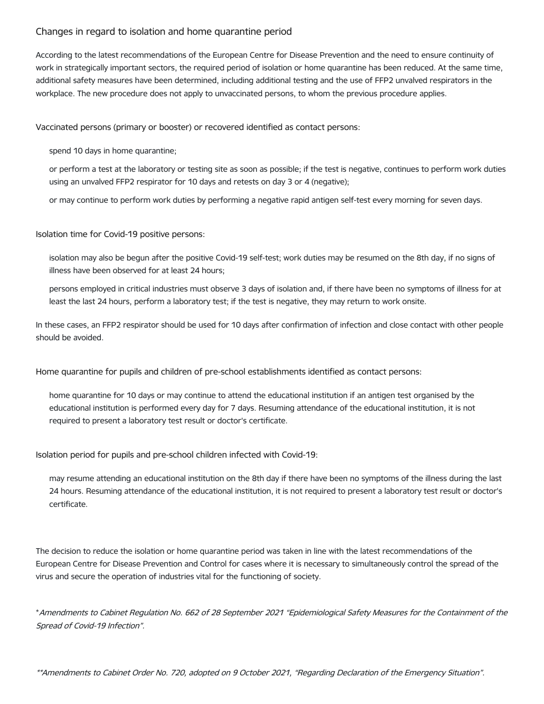## Changes in regard to isolation and home quarantine period

According to the latest recommendations of the European Centre for Disease Prevention and the need to ensure continuity of work in strategically important sectors, the required period of isolation or home quarantine has been reduced. At the same time, additional safety measures have been determined, including additional testing and the use of FFP2 unvalved respirators in the workplace. The new procedure does not apply to unvaccinated persons, to whom the previous procedure applies.

Vaccinated persons (primary or booster) or recovered identified as contact persons:

spend 10 days in home quarantine;

or perform a test at the laboratory or testing site as soon as possible; if the test is negative, continues to perform work duties using an unvalved FFP2 respirator for 10 days and retests on day 3 or 4 (negative);

or may continue to perform work duties by performing a negative rapid antigen self-test every morning for seven days.

Isolation time for Covid-19 positive persons:

isolation may also be begun after the positive Covid-19 self-test; work duties may be resumed on the 8th day, if no signs of illness have been observed for at least 24 hours;

persons employed in critical industries must observe 3 days of isolation and, if there have been no symptoms of illness for at least the last 24 hours, perform a laboratory test; if the test is negative, they may return to work onsite.

In these cases, an FFP2 respirator should be used for 10 days after confirmation of infection and close contact with other people should be avoided.

Home quarantine for pupils and children of pre-school establishments identified as contact persons:

home quarantine for 10 days or may continue to attend the educational institution if an antigen test organised by the educational institution is performed every day for 7 days. Resuming attendance of the educational institution, it is not required to present a laboratory test result or doctor's certificate.

Isolation period for pupils and pre-school children infected with Covid-19:

may resume attending an educational institution on the 8th day if there have been no symptoms of the illness during the last 24 hours. Resuming attendance of the educational institution, it is not required to present a laboratory test result or doctor's certificate.

The decision to reduce the isolation or home quarantine period was taken in line with the latest recommendations of the European Centre for Disease Prevention and Control for cases where it is necessary to simultaneously control the spread of the virus and secure the operation of industries vital for the functioning of society.

\*Amendments to Cabinet Regulation No. 662 of 28 September 2021 "Epidemiological Safety Measures for the Containment of the Spread of Covid-19 Infection".

\*\*Amendments to Cabinet Order No. 720, adopted on 9 October 2021, "Regarding Declaration of the Emergency Situation".